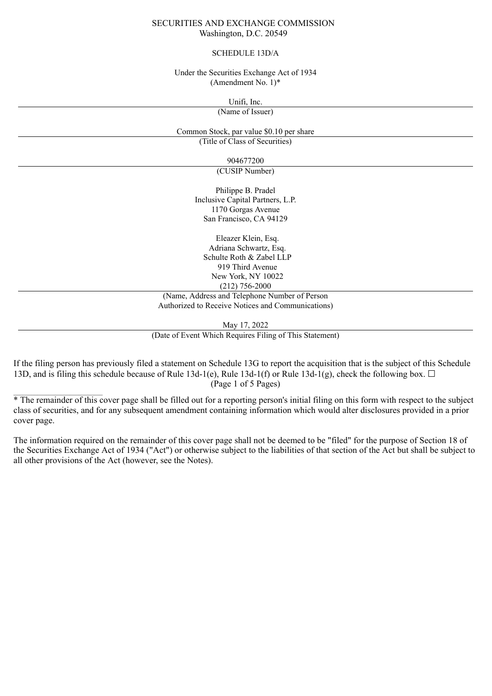### SECURITIES AND EXCHANGE COMMISSION Washington, D.C. 20549

#### SCHEDULE 13D/A

Under the Securities Exchange Act of 1934 (Amendment No. 1)\*

> Unifi, Inc. (Name of Issuer)

Common Stock, par value \$0.10 per share (Title of Class of Securities)

904677200

(CUSIP Number)

Philippe B. Pradel Inclusive Capital Partners, L.P. 1170 Gorgas Avenue San Francisco, CA 94129

Eleazer Klein, Esq. Adriana Schwartz, Esq. Schulte Roth & Zabel LLP 919 Third Avenue New York, NY 10022 (212) 756-2000

(Name, Address and Telephone Number of Person Authorized to Receive Notices and Communications)

May 17, 2022

(Date of Event Which Requires Filing of This Statement)

If the filing person has previously filed a statement on Schedule 13G to report the acquisition that is the subject of this Schedule 13D, and is filing this schedule because of Rule 13d-1(e), Rule 13d-1(f) or Rule 13d-1(g), check the following box.  $\Box$ (Page 1 of 5 Pages)

 $\mathcal{L}_\text{max}$ 

<sup>\*</sup> The remainder of this cover page shall be filled out for a reporting person's initial filing on this form with respect to the subject class of securities, and for any subsequent amendment containing information which would alter disclosures provided in a prior cover page.

The information required on the remainder of this cover page shall not be deemed to be "filed" for the purpose of Section 18 of the Securities Exchange Act of 1934 ("Act") or otherwise subject to the liabilities of that section of the Act but shall be subject to all other provisions of the Act (however, see the Notes).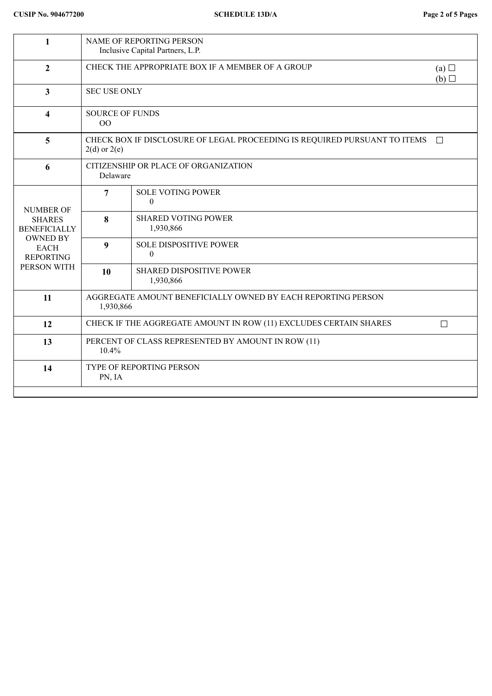| $\mathbf{1}$                                                                                                                  | NAME OF REPORTING PERSON<br>Inclusive Capital Partners, L.P.                                            |                                               |  |  |
|-------------------------------------------------------------------------------------------------------------------------------|---------------------------------------------------------------------------------------------------------|-----------------------------------------------|--|--|
| $\overline{2}$                                                                                                                | CHECK THE APPROPRIATE BOX IF A MEMBER OF A GROUP<br>(a)<br>(b)                                          |                                               |  |  |
| $\overline{3}$                                                                                                                | <b>SEC USE ONLY</b>                                                                                     |                                               |  |  |
| $\overline{\mathbf{4}}$                                                                                                       | <b>SOURCE OF FUNDS</b><br>00                                                                            |                                               |  |  |
| 5                                                                                                                             | CHECK BOX IF DISCLOSURE OF LEGAL PROCEEDING IS REQUIRED PURSUANT TO ITEMS<br>$\Box$<br>$2(d)$ or $2(e)$ |                                               |  |  |
| 6                                                                                                                             | CITIZENSHIP OR PLACE OF ORGANIZATION<br>Delaware                                                        |                                               |  |  |
| <b>NUMBER OF</b><br><b>SHARES</b><br><b>BENEFICIALLY</b><br><b>OWNED BY</b><br><b>EACH</b><br><b>REPORTING</b><br>PERSON WITH | 7                                                                                                       | <b>SOLE VOTING POWER</b><br>$\theta$          |  |  |
|                                                                                                                               | 8                                                                                                       | <b>SHARED VOTING POWER</b><br>1,930,866       |  |  |
|                                                                                                                               | $\boldsymbol{9}$                                                                                        | <b>SOLE DISPOSITIVE POWER</b><br>$\mathbf{0}$ |  |  |
|                                                                                                                               | 10                                                                                                      | <b>SHARED DISPOSITIVE POWER</b><br>1,930,866  |  |  |
| 11                                                                                                                            | AGGREGATE AMOUNT BENEFICIALLY OWNED BY EACH REPORTING PERSON<br>1,930,866                               |                                               |  |  |
| 12                                                                                                                            | CHECK IF THE AGGREGATE AMOUNT IN ROW (11) EXCLUDES CERTAIN SHARES<br>$\Box$                             |                                               |  |  |
| 13                                                                                                                            | PERCENT OF CLASS REPRESENTED BY AMOUNT IN ROW (11)<br>$10.4\%$                                          |                                               |  |  |
| 14                                                                                                                            | TYPE OF REPORTING PERSON<br>PN, IA                                                                      |                                               |  |  |
|                                                                                                                               |                                                                                                         |                                               |  |  |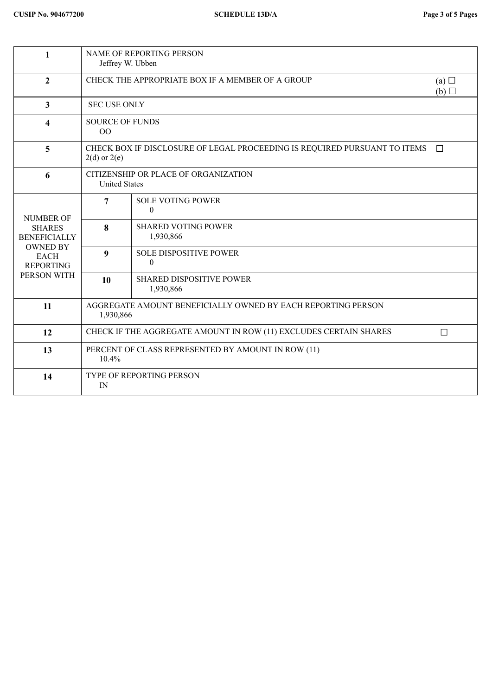| $\mathbf{1}$                                                                                                                  | <b>NAME OF REPORTING PERSON</b><br>Jeffrey W. Ubben                                                     |                                                   |  |  |
|-------------------------------------------------------------------------------------------------------------------------------|---------------------------------------------------------------------------------------------------------|---------------------------------------------------|--|--|
| $\overline{2}$                                                                                                                | CHECK THE APPROPRIATE BOX IF A MEMBER OF A GROUP<br>(a) $\Box$<br>(b)                                   |                                                   |  |  |
| 3                                                                                                                             | <b>SEC USE ONLY</b>                                                                                     |                                                   |  |  |
| 4                                                                                                                             | <b>SOURCE OF FUNDS</b><br>00                                                                            |                                                   |  |  |
| 5                                                                                                                             | CHECK BOX IF DISCLOSURE OF LEGAL PROCEEDING IS REQUIRED PURSUANT TO ITEMS<br>$\Box$<br>$2(d)$ or $2(e)$ |                                                   |  |  |
| 6                                                                                                                             | CITIZENSHIP OR PLACE OF ORGANIZATION<br><b>United States</b>                                            |                                                   |  |  |
| <b>NUMBER OF</b><br><b>SHARES</b><br><b>BENEFICIALLY</b><br><b>OWNED BY</b><br><b>EACH</b><br><b>REPORTING</b><br>PERSON WITH | $\overline{7}$                                                                                          | <b>SOLE VOTING POWER</b><br>$\theta$              |  |  |
|                                                                                                                               | 8                                                                                                       | <b>SHARED VOTING POWER</b><br>1,930,866           |  |  |
|                                                                                                                               | 9                                                                                                       | <b>SOLE DISPOSITIVE POWER</b><br>$\boldsymbol{0}$ |  |  |
|                                                                                                                               | 10                                                                                                      | <b>SHARED DISPOSITIVE POWER</b><br>1,930,866      |  |  |
| 11                                                                                                                            | AGGREGATE AMOUNT BENEFICIALLY OWNED BY EACH REPORTING PERSON<br>1,930,866                               |                                                   |  |  |
| 12                                                                                                                            | CHECK IF THE AGGREGATE AMOUNT IN ROW (11) EXCLUDES CERTAIN SHARES<br>$\Box$                             |                                                   |  |  |
| 13                                                                                                                            | PERCENT OF CLASS REPRESENTED BY AMOUNT IN ROW (11)<br>10.4%                                             |                                                   |  |  |
| 14                                                                                                                            | TYPE OF REPORTING PERSON<br>IN                                                                          |                                                   |  |  |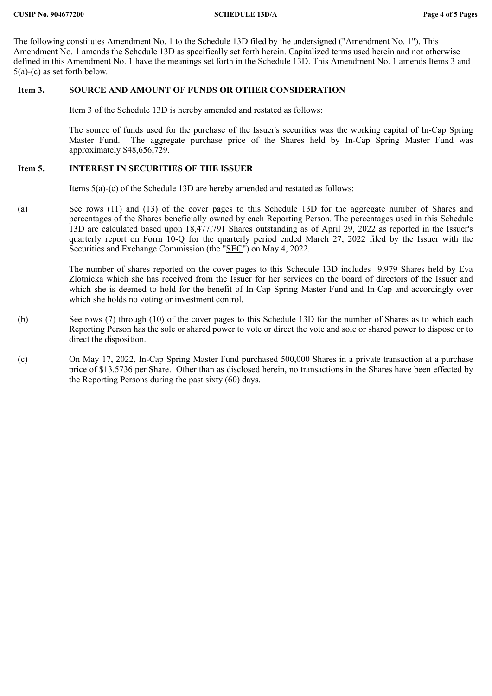The following constitutes Amendment No. 1 to the Schedule 13D filed by the undersigned ("Amendment No. 1"). This Amendment No. 1 amends the Schedule 13D as specifically set forth herein. Capitalized terms used herein and not otherwise defined in this Amendment No. 1 have the meanings set forth in the Schedule 13D. This Amendment No. 1 amends Items 3 and 5(a)-(c) as set forth below.

## **Item 3. SOURCE AND AMOUNT OF FUNDS OR OTHER CONSIDERATION**

Item 3 of the Schedule 13D is hereby amended and restated as follows:

The source of funds used for the purchase of the Issuer's securities was the working capital of In-Cap Spring Master Fund. The aggregate purchase price of the Shares held by In-Cap Spring Master Fund was approximately \$48,656,729.

# **Item 5. INTEREST IN SECURITIES OF THE ISSUER**

Items 5(a)-(c) of the Schedule 13D are hereby amended and restated as follows:

(a) See rows (11) and (13) of the cover pages to this Schedule 13D for the aggregate number of Shares and percentages of the Shares beneficially owned by each Reporting Person. The percentages used in this Schedule 13D are calculated based upon 18,477,791 Shares outstanding as of April 29, 2022 as reported in the Issuer's quarterly report on Form 10-Q for the quarterly period ended March 27, 2022 filed by the Issuer with the Securities and Exchange Commission (the "SEC") on May 4, 2022.

> The number of shares reported on the cover pages to this Schedule 13D includes 9,979 Shares held by Eva Zlotnicka which she has received from the Issuer for her services on the board of directors of the Issuer and which she is deemed to hold for the benefit of In-Cap Spring Master Fund and In-Cap and accordingly over which she holds no voting or investment control.

- (b) See rows (7) through (10) of the cover pages to this Schedule 13D for the number of Shares as to which each Reporting Person has the sole or shared power to vote or direct the vote and sole or shared power to dispose or to direct the disposition.
- (c) On May 17, 2022, In-Cap Spring Master Fund purchased 500,000 Shares in a private transaction at a purchase price of \$13.5736 per Share. Other than as disclosed herein, no transactions in the Shares have been effected by the Reporting Persons during the past sixty (60) days.